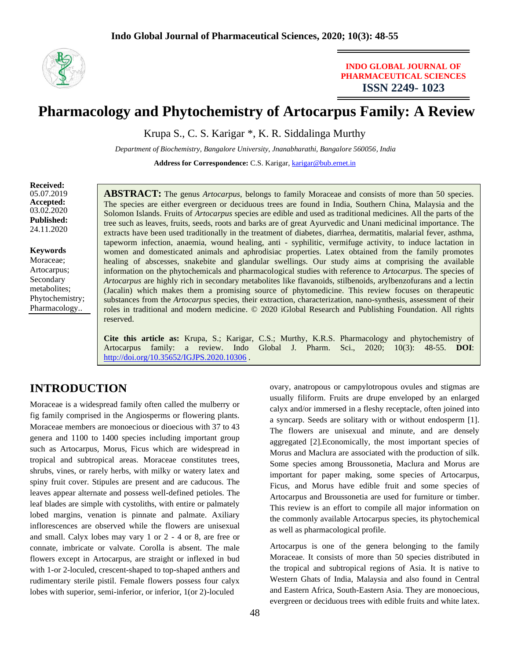

## **INDO GLOBAL JOURNAL OF PHARMACEUTICAL SCIENCES ISSN 2249- 1023**

# **Pharmacology and Phytochemistry of Artocarpus Family: A Review**

Krupa S., C. S. Karigar \*, K. R. Siddalinga Murthy

*Department of Biochemistry, Bangalore University, Jnanabharathi, Bangalore 560056, India*

**Address for Correspondence:** C.S. Karigar, [karigar@bub.ernet.in](mailto:karigar@bub.ernet.in)

**Received:**  05.07.2019 **Accepted:**  03.02.2020 **Published:** 24.11.2020

**Keywords** Moraceae; Artocarpus; Secondary metabolites; Phytochemistry; Pharmacology..

**ABSTRACT:** The genus *Artocarpus,* belongs to family Moraceae and consists of more than 50 species. The species are either evergreen or deciduous trees are found in India, Southern China, Malaysia and the Solomon Islands. Fruits of *Artocarpus* species are edible and used as traditional medicines. All the parts of the tree such as leaves, fruits, seeds, roots and barks are of great Ayurvedic and Unani medicinal importance. The extracts have been used traditionally in the treatment of diabetes, diarrhea, dermatitis, malarial fever, asthma, tapeworm infection, anaemia, wound healing, anti - syphilitic, vermifuge activity, to induce lactation in women and domesticated animals and aphrodisiac properties. Latex obtained from the family promotes healing of abscesses, snakebite and glandular swellings. Our study aims at comprising the available information on the phytochemicals and pharmacological studies with reference to *Artocarpus*. The species of *Artocarpus* are highly rich in secondary metabolites like flavanoids, stilbenoids, arylbenzofurans and a lectin (Jacalin) which makes them a promising source of phytomedicine. This review focuses on therapeutic substances from the *Artocarpus* species, their extraction, characterization, nano-synthesis, assessment of their roles in traditional and modern medicine. © 2020 iGlobal Research and Publishing Foundation. All rights reserved.

**Cite this article as:** Krupa, S.; Karigar, C.S.; Murthy, K.R.S. Pharmacology and phytochemistry of Artocarpus family: a review. Indo Global J. Pharm. Sci., 2020; 10(3): 48-55. **DOI**: <http://doi.org/10.35652/IGJPS.2020.10306>.

# **INTRODUCTION**

Moraceae is a widespread family often called the mulberry or fig family comprised in the Angiosperms or flowering plants. Moraceae members are monoecious or dioecious with 37 to 43 genera and 1100 to 1400 species including important group such as Artocarpus, Morus, Ficus which are widespread in tropical and subtropical areas. Moraceae constitutes trees, shrubs, vines, or rarely herbs, with milky or watery latex and spiny fruit cover. Stipules are present and are caducous. The leaves appear alternate and possess well-defined petioles. The leaf blades are simple with cystoliths, with entire or palmately lobed margins, venation is pinnate and palmate. Axiliary inflorescences are observed while the flowers are unisexual and small. Calyx lobes may vary 1 or 2 - 4 or 8, are free or connate, imbricate or valvate. Corolla is absent. The male flowers except in Artocarpus, are straight or inflexed in bud with 1-or 2-loculed, crescent-shaped to top-shaped anthers and rudimentary sterile pistil. Female flowers possess four calyx lobes with superior, semi-inferior, or inferior, 1(or 2)-loculed

ovary, anatropous or campylotropous ovules and stigmas are usually filiform. Fruits are drupe enveloped by an enlarged calyx and/or immersed in a fleshy receptacle, often joined into a syncarp. Seeds are solitary with or without endosperm [1]. The flowers are unisexual and minute, and are densely aggregated [2].Economically, the most important species of Morus and Maclura are associated with the production of silk. Some species among Broussonetia, Maclura and Morus are important for paper making, some species of Artocarpus, Ficus, and Morus have edible fruit and some species of Artocarpus and Broussonetia are used for furniture or timber. This review is an effort to compile all major information on the commonly available Artocarpus species, its phytochemical as well as pharmacological profile.

Artocarpus is one of the genera belonging to the family Moraceae. It consists of more than 50 species distributed in the tropical and subtropical regions of Asia. It is native to Western Ghats of India, Malaysia and also found in Central and Eastern Africa, South-Eastern Asia. They are monoecious, evergreen or deciduous trees with edible fruits and white latex.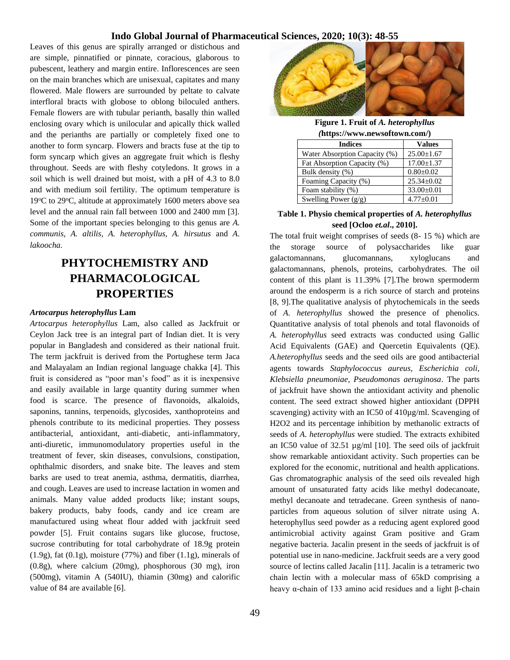Leaves of this genus are spirally arranged or distichous and are simple, pinnatified or pinnate, coracious, glaborous to pubescent, leathery and margin entire. Inflorescences are seen on the main branches which are unisexual, capitates and many flowered. Male flowers are surrounded by peltate to calvate interfloral bracts with globose to oblong biloculed anthers. Female flowers are with tubular perianth, basally thin walled enclosing ovary which is unilocular and apically thick walled and the perianths are partially or completely fixed one to another to form syncarp. Flowers and bracts fuse at the tip to form syncarp which gives an aggregate fruit which is fleshy throughout. Seeds are with fleshy cotyledons. It grows in a soil which is well drained but moist, with a pH of 4.3 to 8.0 and with medium soil fertility. The optimum temperature is  $19^{\circ}$ C to 29 $^{\circ}$ C, altitude at approximately 1600 meters above sea level and the annual rain fall between 1000 and 2400 mm [3]. Some of the important species belonging to this genus are *A. communis, A. altilis, A. heterophyllus, A. hirsutus* and *A. lakoocha.*

# **PHYTOCHEMISTRY AND PHARMACOLOGICAL PROPERTIES**

#### *Artocarpus heterophyllus* **Lam**

*Artocarpus heterophyllus* Lam, also called as Jackfruit or Ceylon Jack tree is an integral part of Indian diet. It is very popular in Bangladesh and considered as their national fruit. The term jackfruit is derived from the Portughese term Jaca and Malayalam an Indian regional language chakka [4]. This fruit is considered as "poor man's food" as it is inexpensive and easily available in large quantity during summer when food is scarce. The presence of flavonoids, alkaloids, saponins, tannins, terpenoids, glycosides, xanthoproteins and phenols contribute to its medicinal properties. They possess antibacterial, antioxidant, anti-diabetic, anti-inflammatory, anti-diuretic, immunomodulatory properties useful in the treatment of fever, skin diseases, convulsions, constipation, ophthalmic disorders, and snake bite. The leaves and stem barks are used to treat anemia, asthma, dermatitis, diarrhea, and cough. Leaves are used to increase lactation in women and animals. Many value added products like; instant soups, bakery products, baby foods, candy and ice cream are manufactured using wheat flour added with jackfruit seed powder [5]. Fruit contains sugars like glucose, fructose, sucrose contributing for total carbohydrate of 18.9g protein (1.9g), fat (0.1g), moisture (77%) and fiber (1.1g), minerals of (0.8g), where calcium (20mg), phosphorous (30 mg), iron (500mg), vitamin A (540IU), thiamin (30mg) and calorific value of 84 are available [6].



**Figure 1. Fruit of** *A. heterophyllus (***https://www.newsoftown.com/)**

| <b>Indices</b>                | <b>Values</b>    |
|-------------------------------|------------------|
| Water Absorption Capacity (%) | $25.00 \pm 1.67$ |
| Fat Absorption Capacity (%)   | $17.00 \pm 1.37$ |
| Bulk density (%)              | $0.80 \pm 0.02$  |
| Foaming Capacity (%)          | $25.34 \pm 0.02$ |
| Foam stability (%)            | $33.00 \pm 0.01$ |
| Swelling Power $(g/g)$        | $4.77 \pm 0.01$  |

#### **Table 1. Physio chemical properties of** *A. heterophyllus* **seed [Ocloo** *et.al***., 2010].**

The total fruit weight comprises of seeds (8- 15 %) which are the storage source of polysaccharides like guar galactomannans, glucomannans, xyloglucans and galactomannans, phenols, proteins, carbohydrates. The oil content of this plant is 11.39% [7].The brown spermoderm around the endosperm is a rich source of starch and proteins [8, 9].The qualitative analysis of phytochemicals in the seeds of *A. heterophyllus* showed the presence of phenolics. Quantitative analysis of total phenols and total flavonoids of *A. heterophyllus* seed extracts was conducted using Gallic Acid Equivalents (GAE) and Quercetin Equivalents (QE). *A.heterophyllus* seeds and the seed oils are good antibacterial agents towards *Staphylococcus aureus, Escherichia coli, Klebsiella pneumoniae, Pseudomonas aeruginosa*. The parts of jackfruit have shown the antioxidant activity and phenolic content. The seed extract showed higher antioxidant (DPPH scavenging) activity with an IC50 of 410µg/ml. Scavenging of H2O2 and its percentage inhibition by methanolic extracts of seeds of *A. heterophyllus* were studied. The extracts exhibited an IC50 value of 32.51 µg/ml [10]. The seed oils of jackfruit show remarkable antioxidant activity. Such properties can be explored for the economic, nutritional and health applications. Gas chromatographic analysis of the seed oils revealed high amount of unsaturated fatty acids like methyl dodecanoate, methyl decanoate and tetradecane. Green synthesis of nanoparticles from aqueous solution of silver nitrate using A. heterophyllus seed powder as a reducing agent explored good antimicrobial activity against Gram positive and Gram negative bacteria. Jacalin present in the seeds of jackfruit is of potential use in nano-medicine. Jackfruit seeds are a very good source of lectins called Jacalin [11]. Jacalin is a tetrameric two chain lectin with a molecular mass of 65kD comprising a heavy α-chain of 133 amino acid residues and a light β-chain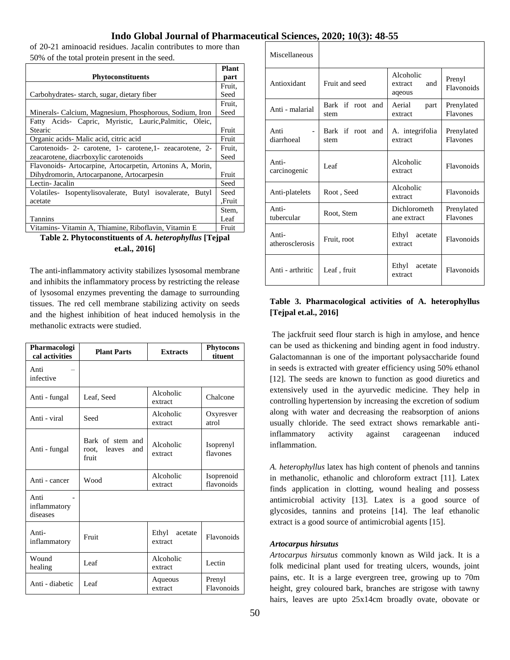of 20-21 aminoacid residues. Jacalin contributes to more than 50% of the total protein present in the seed.

|                                                           | Plant  |
|-----------------------------------------------------------|--------|
| <b>Phytoconstituents</b>                                  | part   |
|                                                           | Fruit, |
| Carbohydrates-starch, sugar, dietary fiber                | Seed   |
|                                                           | Fruit, |
| Minerals- Calcium, Magnesium, Phosphorous, Sodium, Iron   | Seed   |
| Fatty Acids- Capric, Myristic, Lauric, Palmitic, Oleic,   |        |
| Stearic                                                   | Fruit  |
| Organic acids Malic acid, citric acid                     | Fruit  |
| Carotenoids- 2- carotene, 1- carotene, 1- zeacarotene, 2- | Fruit. |
| zeacarotene, diacrboxylic carotenoids                     | Seed   |
| Flavonoids-Artocarpine, Artocarpetin, Artonins A, Morin,  |        |
| Dihydromorin, Artocarpanone, Artocarpesin                 | Fruit  |
| Lectin- Jacalin                                           | Seed   |
| Volatiles- Isopentylisovalerate, Butyl isovalerate, Butyl | Seed   |
| acetate                                                   | Fruit. |
|                                                           | Stem,  |
| Tannins                                                   | Leaf   |
| Vitamins- Vitamin A, Thiamine, Riboflavin, Vitamin E      | Fruit  |

**Table 2. Phytoconstituents of** *A. heterophyllus* **[Tejpal et.al., 2016]**

The anti-inflammatory activity stabilizes lysosomal membrane and inhibits the inflammatory process by restricting the release of lysosomal enzymes preventing the damage to surrounding tissues. The red cell membrane stabilizing activity on seeds and the highest inhibition of heat induced hemolysis in the methanolic extracts were studied.

| Pharmacologi<br>cal activities   | <b>Plant Parts</b>                                  | <b>Extracts</b>             | <b>Phytocons</b><br>tituent |
|----------------------------------|-----------------------------------------------------|-----------------------------|-----------------------------|
| Anti<br>infective                |                                                     |                             |                             |
| Anti - fungal                    | Leaf, Seed                                          | Alcoholic<br>extract        | Chalcone                    |
| Anti - viral                     | Seed                                                | Alcoholic<br>extract        | Oxyresver<br>atrol          |
| Anti - fungal                    | Bark of stem and<br>leaves<br>root.<br>and<br>fruit | Alcoholic<br>extract        | Isoprenyl<br>flavones       |
| Anti - cancer                    | Wood                                                | Alcoholic<br>extract        | Isoprenoid<br>flavonoids    |
| Anti<br>inflammatory<br>diseases |                                                     |                             |                             |
| Anti-<br>inflammatory            | Fruit                                               | Ethyl<br>acetate<br>extract | Flavonoids                  |
| Wound<br>healing                 | Leaf                                                | Alcoholic<br>extract        | Lectin                      |
| Anti - diabetic                  | Leaf                                                | Aqueous<br>extract          | Prenyl<br>Flavonoids        |

Miscellaneous

| Antioxidant                          | Fruit and seed              | Alcoholic<br>and<br>extract<br>aqeous | Prenyl<br>Flavonoids   |
|--------------------------------------|-----------------------------|---------------------------------------|------------------------|
| Anti - malarial                      | Bark if root<br>and<br>stem | Aerial<br>part<br>extract             | Prenylated<br>Flavones |
| Anti<br>$\overline{a}$<br>diarrhoeal | Bark if root and<br>stem    | A. integrifolia<br>extract            | Prenylated<br>Flavones |
| Anti-<br>carcinogenic                | Leaf                        | Alcoholic<br>extract                  | Flavonoids             |
| Anti-platelets                       | Root, Seed                  | Alcoholic<br>extract                  | Flavonoids             |
| Anti-<br>tubercular                  | Root, Stem                  | Dichlorometh<br>ane extract           | Prenylated<br>Flavones |
| Anti-<br>atherosclerosis             | Fruit, root                 | Ethyl<br>acetate<br>extract           | Flavonoids             |
| Anti - arthritic                     | Leaf, fruit                 | Ethyl<br>acetate<br>extract           | Flavonoids             |

### **Table 3. Pharmacological activities of A. heterophyllus [Tejpal et.al., 2016]**

The jackfruit seed flour starch is high in amylose, and hence can be used as thickening and binding agent in food industry. Galactomannan is one of the important polysaccharide found in seeds is extracted with greater efficiency using 50% ethanol [12]. The seeds are known to function as good diuretics and extensively used in the ayurvedic medicine. They help in controlling hypertension by increasing the excretion of sodium along with water and decreasing the reabsorption of anions usually chloride. The seed extract shows remarkable antiinflammatory activity against carageenan induced inflammation.

*A. heterophyllus* latex has high content of phenols and tannins in methanolic, ethanolic and chloroform extract [11]. Latex finds application in clotting, wound healing and possess antimicrobial activity [13]. Latex is a good source of glycosides, tannins and proteins [14]. The leaf ethanolic extract is a good source of antimicrobial agents [15].

#### *Artocarpus hirsutus*

*Artocarpus hirsutus* commonly known as Wild jack. It is a folk medicinal plant used for treating ulcers, wounds, joint pains, etc. It is a large evergreen tree, growing up to 70m height, grey coloured bark, branches are strigose with tawny hairs, leaves are upto 25x14cm broadly ovate, obovate or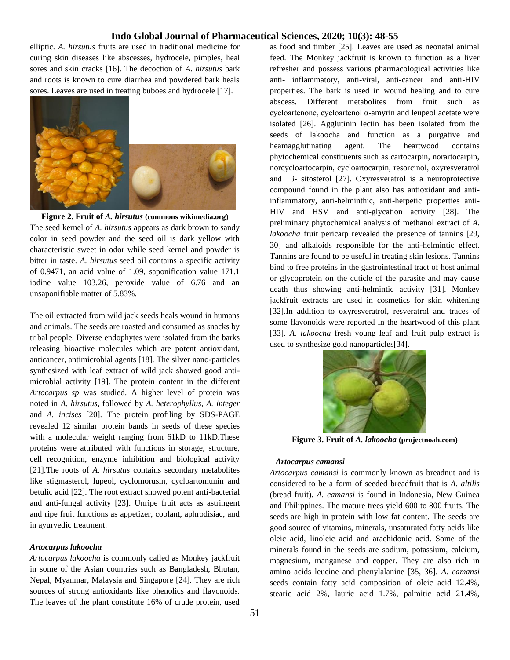elliptic. *A. hirsutus* fruits are used in traditional medicine for curing skin diseases like abscesses, hydrocele, pimples, heal sores and skin cracks [16]. The decoction of *A. hirsutus* bark and roots is known to cure diarrhea and powdered bark heals sores. Leaves are used in treating buboes and hydrocele [17].



**Figure 2. Fruit of** *A. hirsutus* **(commons wikimedia.org)** The seed kernel of *A. hirsutus* appears as dark brown to sandy color in seed powder and the seed oil is dark yellow with characteristic sweet in odor while seed kernel and powder is bitter in taste. *A. hirsutus* seed oil contains a specific activity of 0.9471, an acid value of 1.09, saponification value 171.1 iodine value 103.26, peroxide value of 6.76 and an unsaponifiable matter of 5.83%.

The oil extracted from wild jack seeds heals wound in humans and animals. The seeds are roasted and consumed as snacks by tribal people. Diverse endophytes were isolated from the barks releasing bioactive molecules which are potent antioxidant, anticancer, antimicrobial agents [18]. The silver nano-particles synthesized with leaf extract of wild jack showed good antimicrobial activity [19]. The protein content in the different *Artocarpus sp* was studied. A higher level of protein was noted in *A. hirsutus*, followed by *A. heterophyllus*, *A. integer* and *A. incises* [20]. The protein profiling by SDS-PAGE revealed 12 similar protein bands in seeds of these species with a molecular weight ranging from 61kD to 11kD. These proteins were attributed with functions in storage, structure, cell recognition, enzyme inhibition and biological activity [21].The roots of *A. hirsutus* contains secondary metabolites like stigmasterol, lupeol, cyclomorusin, cycloartomunin and betulic acid [22]. The root extract showed potent anti-bacterial and anti-fungal activity [23]. Unripe fruit acts as astringent and ripe fruit functions as appetizer, coolant, aphrodisiac, and in ayurvedic treatment.

#### *Artocarpus lakoocha*

*Artocarpus lakoocha* is commonly called as Monkey jackfruit in some of the Asian countries such as Bangladesh, Bhutan, Nepal, Myanmar, Malaysia and Singapore [24]. They are rich sources of strong antioxidants like phenolics and flavonoids. The leaves of the plant constitute 16% of crude protein, used

as food and timber [25]. Leaves are used as neonatal animal feed. The Monkey jackfruit is known to function as a liver refresher and possess various pharmacological activities like anti- inflammatory, anti-viral, anti-cancer and anti-HIV properties. The bark is used in wound healing and to cure abscess. Different metabolites from fruit such as cycloartenone, cycloartenol α-amyrin and leupeol acetate were isolated [26]. Agglutinin lectin has been isolated from the seeds of lakoocha and function as a purgative and heamagglutinating agent. The heartwood contains phytochemical constituents such as cartocarpin, norartocarpin, norcycloartocarpin, cycloartocarpin, resorcinol, oxyresveratrol and β- sitosterol [27]. Oxyresveratrol is a neuroprotective compound found in the plant also has antioxidant and antiinflammatory, anti-helminthic, anti-herpetic properties anti-HIV and HSV and anti-glycation activity [28]. The preliminary phytochemical analysis of methanol extract of *A. lakoocha* fruit pericarp revealed the presence of tannins [29, 30] and alkaloids responsible for the anti-helmintic effect. Tannins are found to be useful in treating skin lesions. Tannins bind to free proteins in the gastrointestinal tract of host animal or glycoprotein on the cuticle of the parasite and may cause death thus showing anti-helmintic activity [31]. Monkey jackfruit extracts are used in cosmetics for skin whitening [32].In addition to oxyresveratrol, resveratrol and traces of some flavonoids were reported in the heartwood of this plant [33]. *A. lakoocha* fresh young leaf and fruit pulp extract is used to synthesize gold nanoparticles[34].



**Figure 3. Fruit of** *A. lakoocha* **(projectnoah.com)**

#### *Artocarpus camansi*

*Artocarpus camansi* is commonly known as breadnut and is considered to be a form of seeded breadfruit that is *A. altilis* (bread fruit). *A. camansi* is found in Indonesia, New Guinea and Philippines. The mature trees yield 600 to 800 fruits. The seeds are high in protein with low fat content. The seeds are good source of vitamins, minerals, unsaturated fatty acids like oleic acid, linoleic acid and arachidonic acid. Some of the minerals found in the seeds are sodium, potassium, calcium, magnesium, manganese and copper. They are also rich in amino acids leucine and phenylalanine [35, 36]. *A. camansi* seeds contain fatty acid composition of oleic acid 12.4%, stearic acid 2%, lauric acid 1.7%, palmitic acid 21.4%,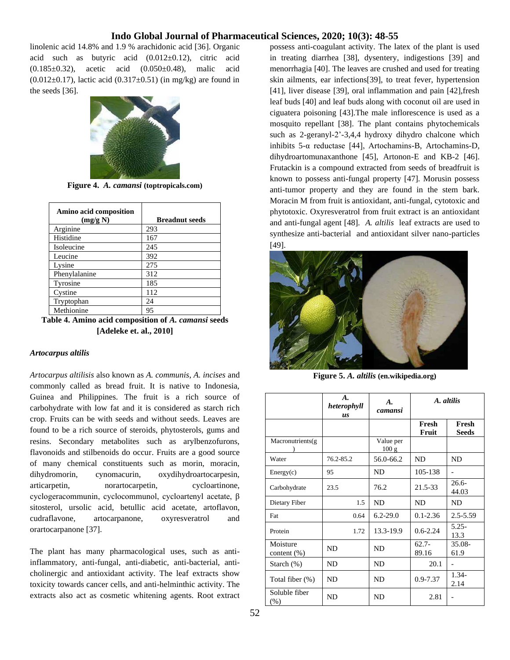linolenic acid 14.8% and 1.9 % arachidonic acid [36]. Organic acid such as butyric acid (0.012±0.12), citric acid (0.185±0.32), acetic acid (0.050±0.48), malic acid (0.012 $\pm$ 0.17), lactic acid (0.317 $\pm$ 0.51) (in mg/kg) are found in the seeds [36].



**Figure 4.** *A. camansi* **(toptropicals.com)**

| Amino acid composition<br>(mg/g N) | <b>Breadnut</b> seeds |
|------------------------------------|-----------------------|
| Arginine                           | 293                   |
| Histidine                          | 167                   |
| Isoleucine                         | 245                   |
| Leucine                            | 392                   |
| Lysine                             | 275                   |
| Phenylalanine                      | 312                   |
| Tyrosine                           | 185                   |
| Cystine                            | 112                   |
| Tryptophan                         | 24                    |
| Methionine                         | 95                    |
|                                    |                       |

**Table 4. Amino acid composition of** *A. camansi* **seeds [Adeleke et. al., 2010]**

#### *Artocarpus altilis*

*Artocarpus altilisis* also known as *A. communis*, *A. incises* and commonly called as bread fruit. It is native to Indonesia, Guinea and Philippines. The fruit is a rich source of carbohydrate with low fat and it is considered as starch rich crop. Fruits can be with seeds and without seeds. Leaves are found to be a rich source of steroids, phytosterols, gums and resins. Secondary metabolites such as arylbenzofurons, flavonoids and stilbenoids do occur. Fruits are a good source of many chemical constituents such as morin, moracin, dihydromorin, cynomacurin, oxydihydroartocarpesin, articarpetin, norartocarpetin, cycloartinone, cyclogeracommunin, cyclocommunol, cycloartenyl acetate, β sitosterol, ursolic acid, betullic acid acetate, artoflavon, cudraflavone, artocarpanone, oxyresveratrol and orartocarpanone [37].

The plant has many pharmacological uses, such as antiinflammatory, anti-fungal, anti-diabetic, anti-bacterial, anticholinergic and antioxidant activity. The leaf extracts show toxicity towards cancer cells, and anti-helminthic activity. The extracts also act as cosmetic whitening agents. Root extract possess anti-coagulant activity. The latex of the plant is used in treating diarrhea [38], dysentery, indigestions [39] and menorrhagia [40]. The leaves are crushed and used for treating skin ailments, ear infections[39], to treat fever, hypertension [41], liver disease [39], oral inflammation and pain [42],fresh leaf buds [40] and leaf buds along with coconut oil are used in ciguatera poisoning [43].The male inflorescence is used as a mosquito repellant [38]. The plant contains phytochemicals such as 2-geranyl-2'-3,4,4 hydroxy dihydro chalcone which inhibits 5-α reductase [44], Artochamins-B, Artochamins-D, dihydroartomunaxanthone [45], Artonon-E and KB-2 [46]. Frutackin is a compound extracted from seeds of breadfruit is known to possess anti-fungal property [47]. Morusin possess anti-tumor property and they are found in the stem bark. Moracin M from fruit is antioxidant, anti-fungal, cytotoxic and phytotoxic. Oxyresveratrol from fruit extract is an antioxidant and anti-fungal agent [48]. *A. altilis* leaf extracts are used to synthesize anti-bacterial and antioxidant silver nano-particles [49].



**Figure 5.** *A. altilis* **(en.wikipedia.org)**

|                            | A.<br>heterophyll<br><b>US</b> | A.<br>camansi      | A. altilis        |                       |
|----------------------------|--------------------------------|--------------------|-------------------|-----------------------|
|                            |                                |                    | Fresh<br>Fruit    | Fresh<br><b>Seeds</b> |
| Macronutrients(g)          |                                | Value per<br>100 g |                   |                       |
| Water                      | 76.2-85.2                      | 56.0-66.2          | ND                | ND.                   |
| Energy(c)                  | 95                             | <b>ND</b>          | 105-138           |                       |
| Carbohydrate               | 23.5                           | 76.2               | 21.5-33           | $26.6-$<br>44.03      |
| Dietary Fiber              | 1.5                            | ND                 | <b>ND</b>         | <b>ND</b>             |
| Fat                        | 0.64                           | $6.2 - 29.0$       | $0.1 - 2.36$      | $2.5 - 5.59$          |
| Protein                    | 1.72                           | 13.3-19.9          | $0.6 - 2.24$      | $5.25 -$<br>13.3      |
| Moisture<br>content $(\%)$ | <b>ND</b>                      | <b>ND</b>          | $62.7 -$<br>89.16 | $35.08 -$<br>61.9     |
| Starch $(\%)$              | <b>ND</b>                      | ND                 | 20.1              |                       |
| Total fiber (%)            | <b>ND</b>                      | ND                 | $0.9 - 7.37$      | $1.34-$<br>2.14       |
| Soluble fiber<br>(% )      | <b>ND</b>                      | ND                 | 2.81              |                       |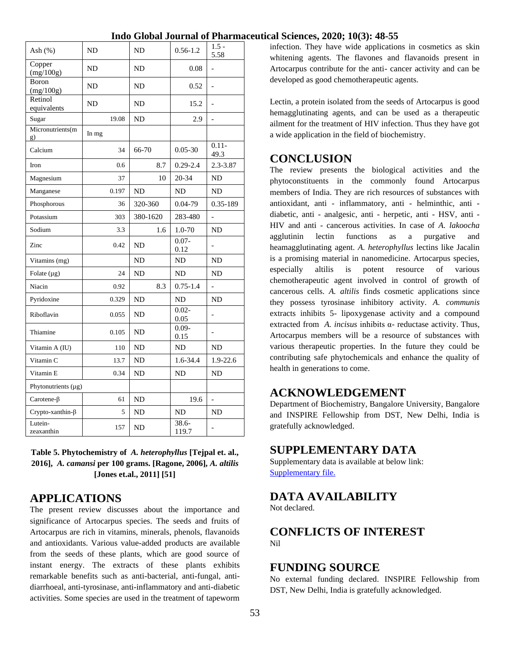| Ash (%)                  | ND    |       | <b>ND</b> | $0.56 - 1.2$      | $1.5 -$<br>5.58          |
|--------------------------|-------|-------|-----------|-------------------|--------------------------|
| Copper<br>(mg/100g)      | ND    |       | ND        | 0.08              |                          |
| Boron<br>(mg/100g)       | ND    |       | ND        | 0.52              | $\overline{\phantom{0}}$ |
| Retinol<br>equivalents   | ND    |       | ND        | 15.2              | $\overline{a}$           |
| Sugar                    |       | 19.08 | ND        | 2.9               | $\frac{1}{2}$            |
| Micronutrients(m<br>g)   | In mg |       |           |                   |                          |
| Calcium                  |       | 34    | 66-70     | $0.05 - 30$       | $0.11 -$<br>49.3         |
| Iron                     |       | 0.6   | 8.7       | $0.29 - 2.4$      | 2.3-3.87                 |
| Magnesium                |       | 37    | 10        | 20-34             | ND                       |
| Manganese                |       | 0.197 | ND        | ND                | ND                       |
| Phosphorous              |       | 36    | 320-360   | 0.04-79           | 0.35-189                 |
| Potassium                |       | 303   | 380-1620  | 283-480           |                          |
| Sodium                   |       | 3.3   | 1.6       | 1.0-70            | ND                       |
| Zinc                     |       | 0.42  | <b>ND</b> | $0.07 -$<br>0.12  |                          |
| Vitamins (mg)            |       |       | <b>ND</b> | ND                | N <sub>D</sub>           |
| Folate $(\mu g)$         |       | 24    | ND        | ND                | ND                       |
| Niacin                   |       | 0.92  | 8.3       | $0.75 - 1.4$      | $\overline{a}$           |
| Pyridoxine               |       | 0.329 | ND        | <b>ND</b>         | ND                       |
| Riboflavin               |       | 0.055 | ND        | $0.02 -$<br>0.05  |                          |
| Thiamine                 |       | 0.105 | ND        | $0.09 -$<br>0.15  | $\overline{a}$           |
| Vitamin A (IU)           |       | 110   | ND        | ND                | ND                       |
| Vitamin C                |       | 13.7  | ND        | 1.6-34.4          | 1.9-22.6                 |
| Vitamin E                |       | 0.34  | ND        | ND.               | ND                       |
| Phytonutrients $(\mu g)$ |       |       |           |                   |                          |
| Carotene- $\beta$        |       | 61    | ND        | 19.6              | $\overline{a}$           |
| $Crypto-xanthin-\beta$   |       | 5     | <b>ND</b> | <b>ND</b>         | <b>ND</b>                |
| Lutein-<br>zeaxanthin    |       | 157   | ND        | $38.6 -$<br>119.7 | $\overline{\phantom{0}}$ |

**Table 5. Phytochemistry of** *A. heterophyllus* **[Tejpal et. al., 2016],** *A. camansi* **per 100 grams. [Ragone, 2006],** *A. altilis* **[Jones et.al., 2011] [51]**

# **APPLICATIONS**

The present review discusses about the importance and significance of Artocarpus species. The seeds and fruits of Artocarpus are rich in vitamins, minerals, phenols, flavanoids and antioxidants. Various value-added products are available from the seeds of these plants, which are good source of instant energy. The extracts of these plants exhibits remarkable benefits such as anti-bacterial, anti-fungal, antidiarrhoeal, anti-tyrosinase, anti-inflammatory and anti-diabetic activities. Some species are used in the treatment of tapeworm

infection. They have wide applications in cosmetics as skin whitening agents. The flavones and flavanoids present in Artocarpus contribute for the anti- cancer activity and can be developed as good chemotherapeutic agents.

Lectin, a protein isolated from the seeds of Artocarpus is good hemagglutinating agents, and can be used as a therapeutic ailment for the treatment of HIV infection. Thus they have got a wide application in the field of biochemistry.

# **CONCLUSION**

The review presents the biological activities and the phytoconstituents in the commonly found Artocarpus members of India. They are rich resources of substances with antioxidant, anti - inflammatory, anti - helminthic, anti diabetic, anti - analgesic, anti - herpetic, anti - HSV, anti - HIV and anti - cancerous activities. In case of *A. lakoocha* agglutinin lectin functions as a purgative and heamagglutinating agent. *A. heterophyllus* lectins like Jacalin is a promising material in nanomedicine. Artocarpus species, especially altilis is potent resource of various chemotherapeutic agent involved in control of growth of cancerous cells. *A. altilis* finds cosmetic applications since they possess tyrosinase inhibitory activity. *A. communis* extracts inhibits 5- lipoxygenase activity and a compound extracted from *A. incisus* inhibits α- reductase activity. Thus, Artocarpus members will be a resource of substances with various therapeutic properties. In the future they could be contributing safe phytochemicals and enhance the quality of health in generations to come.

# **ACKNOWLEDGEMENT**

Department of Biochemistry, Bangalore University, Bangalore and INSPIRE Fellowship from DST, New Delhi, India is gratefully acknowledged.

# **SUPPLEMENTARY DATA**

Supplementary data is available at below link: [Supplementary file.](http://www.iglobaljournal.com/wp-content/uploads/2020/11/IGJPS-2019-MSA-0201-SUPPLEMENTARY-TABLES-rev.pdf)

# **DATA AVAILABILITY**

Not declared.

# **CONFLICTS OF INTEREST** Nil

# **FUNDING SOURCE**

No external funding declared. INSPIRE Fellowship from DST, New Delhi, India is gratefully acknowledged.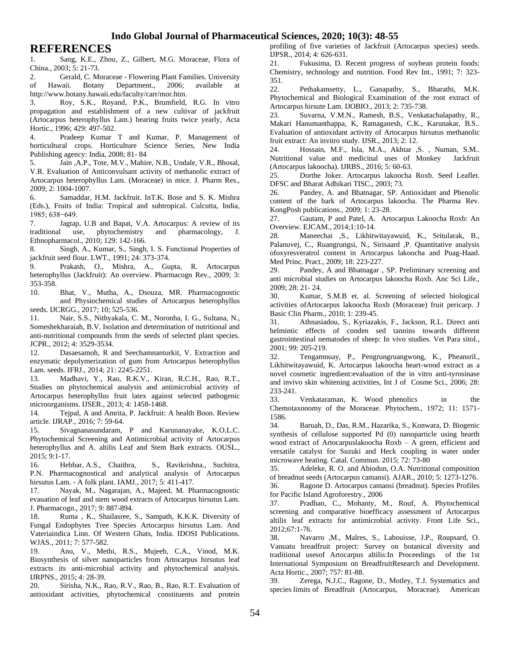## **REFERENCES**

1. Sang, K.E., Zhou, Z., Gilbert, M.G. Moraceae, Flora of China., 2003; 5: 21-73.

2. Gerald, C. Moraceae - Flowering Plant Families. University of Hawaii. Botany Department., 2006; available at http://www.botany.hawaii.edu/faculty/carr/mor.htm.

3. Roy, S.K., Royand, P.K., Brumfield, R.G. In vitro propagation and establishment of a new cultivar of jackfruit (Artocarpus heterophyllus Lam.) bearing fruits twice yearly, Acta Hortic., 1996; 429: 497-502.

4. Pradeep Kumar T and Kumar, P. Management of horticultural crops. Horticulture Science Series, New India Publishing agency: India, 2008; 81- 84

5. Jain ,A.P., Tote, M.V., Mahire, N.B., Undale, V.R., Bhosal, V.R. Evaluation of Anticonvulsant activity of methanolic extract of Artocarpus heterophyllus Lam. (Moraceae) in mice. J. Pharm Res., 2009; 2: 1004-1007.

6. Samaddar, H.M. Jackfruit. InT.K. Bose and S. K. Mishra (Eds.), Fruits of India: Tropical and subtropical. Culcutta, India, 1985; 638−649.

7. Jagtap, U.B and Bapat, V.A. Artocarpus: A review of its traditional use, phytochemistry and pharmacology, J. Ethnopharmacol., 2010; 129: 142-166.

8. Singh, A., Kumar, S., Singh, I. S. Functional Properties of jackfruit seed flour. LWT., 1991; 24: 373-374.

9. Prakash, O., Mishra, A., Gupta, R. Artocarpus heterophyllus (Jackfruit): An overview. Pharmacogn Rev., 2009; 3: 353-358.

10. Bhat, V., Mutha, A., Dsouza, MR. Pharmacognostic and Physiochemical studies of Artocarpus heterophyllus seeds. IJCRGG., 2017; 10; 525-536.

11. Nair, S.S., Nithyakala, C. M., Noronha, I. G., Sultana, N., Someshekharaiah, B.V. Isolation and determination of nutritional and anti-nutritional compounds from the seeds of selected plant species. JCPR., 2012; 4: 3529-3534.

12. Dasaesamoh, R and Seechamnanturkit, V. Extraction and enzymatic depolymerization of gum from Artocarpus heterophyllus Lam. seeds. IFRJ., 2014; 21: 2245-2251.

13. Madhavi, Y., Rao, R.K.V., Kiran, R.C.H., Rao, R.T., Studies on phytochemical analysis and antimicrobial activity of Artocarpus heterophyllus fruit latex against selected pathogenic microorganisms. IJSER., 2013; 4: 1458-1468.

14. Tejpal, A and Amrita, P. Jackfruit: A health Boon. Review article. IJRAP., 2016; 7: 59-64.

15. Sivagnanasundaram, P and Karunanayake, K.O.L.C. Phytochemical Screening and Antimicrobial activity of Artocarpus heterophyllus and A. altilis Leaf and Stem Bark extracts. OUSL., 2015; 9:1-17.

16. Hebbar, A.S., Chaithra, S., Ravikrishna., Suchitra, P.N. Pharmacognostical and analytical analysis of Artocarpus hirsutus Lam. - A folk plant. IAMJ., 2017; 5: 411-417.

17. Nayak, M., Nagarajan, A., Majeed, M. Pharmacognostic evauation of leaf and stem wood extracts of Artocarpus hirsutus Lam. J. Pharmacogn., 2017; 9: 887-894.

18. Ruma , K., Shailasree, S., Sampath, K.K.K. Diversity of Fungal Endophytes Tree Species Artocarpus hirsutus Lam. And Vateriaindica Linn. Of Western Ghats, India. IDOSI Publications. WJAS., 2011; 7: 577-582.

19. Anu, V., Methi, R.S., Mujeeb, C.A., Vinod, M.K. Biosynthesis of silver nanoparticles from Artocarpus hirsutus leaf extracts its anti-microbial activity and phytochemical analysis. IJRPNS., 2015; 4: 28-39.

20. Sirisha, N.K., Rao, R.V., Rao, B., Rao, R.T. Evaluation of antioxidant activities, phytochemical constituents and protein

profiling of five varieties of Jackfruit (Artocarpus species) seeds. IJPSR., 2014; 4: 626-631.

21. Fukusima, D. Recent progress of soybean protein foods: Chemistry, technology and nutrition. Food Rev Int., 1991; 7: 323- 351.

22. Pethakamsetty, L., Ganapathy, S., Bharathi, M.K. Phytochemical and Biological Examination of the root extract of Artocarpus hirsute Lam. IJOBIO., 2013; 2: 735-738.

23. Suvarna, V.M.N., Ramesh, B.S., Venkatachalapathy, R., Makari Hanumanthappa, K, Ramaganesh, C.K., Karunakar, B.S.. Evaluation of antioxidant activity of Artocarpus hirsutus methanolic fruit extract: An invitro study. IJSR., 2013; 2: 12.

24. Hossain, M.F., Isla, M.A., Akhtar ,S. , Numan, S.M.. Nutritional value and medicinal uses of Monkey Jackfruit (Artocarpus lakoocha). IJRBS., 2016; 5: 60-63.

25. Dorthe Joker. Artocarpus lakoocha Roxb. Seed Leaflet. DFSC and Bharat Adhikari TISC., 2003; 73.

26. Pandey, A. and Bhatnagar, SP. Antioxidant and Phenolic content of the bark of Artocarpus lakoocha. The Pharma Rev. KongPosh publications., 2009; 1: 23-28.

27. Gautam, P and Patel, A. Artocarpus Lakoocha Roxb: An Overview. EJCAM., 2014;1:10-14.

28. Maneechai ,S., Likhitwitayawuid, K., Sritularak, B., Palanuvej, C., Ruangrungsi, N., Sirisaard ,P. Quantitative analysis ofoxyresveratrol content in Artocarpus lakoocha and Puag-Haad. Med Princ. Pract., 2009; 18: 223-227.

29. Pandey, A and Bhatnagar , SP. Preliminary screening and anti microbial studies on Artocarpus lakoocha Roxb. Anc Sci Life., 2009; 28: 21- 24.

30. Kumar, S.M.B et. al. Screening of selected biological activities ofArtocarpus lakoocha Roxb (Moraceae) fruit pericarp. J Basic Clin Pharm., 2010; 1: 239-45.

31. Athnasiadou, S., Kyriazakis, F., Jackson, R.L. Direct anti helmintic effects of conden sed tannins towards different gastrointestinal nematodes of sheep: In vivo studies. Vet Para sitol., 2001; 99: 205-219.

32. Tengamnuay, P., Pengrungruangwong, K., Pheansril., Likhitwitayawuid, K. Artocarpus lakoocha heart-wood extract as a novel cosmetic ingredient:evaluation of the in vitro anti-tyrosinase and invivo skin whitening activities, Int J of Cosme Sci., 2006; 28: 233-241.<br>33.

33. Venkataraman, K. Wood phenolics in the Chemotaxonomy of the Moraceae. Phytochem., 1972; 11: 1571- 1586.<br>34.

Baruah, D., Das, R.M., Hazarika, S., Konwara, D. Biogenic synthesis of cellulose supported Pd (0) nanoparticle using hearth wood extract of Artocarpuslakoocha Roxb – A green, efficient and versatile catalyst for Suzuki and Heck coupling in water under microwave heating. Catal. Commun. 2015; 72: 73-80

35. Adeleke, R. O. and Abiodun, O.A. Nutritional composition of breadnut seeds (Artocarpus camansi). AJAR., 2010; 5: 1273-1276.

36. Ragone D. Artocarpus camansi (breadnut). Species Profiles for Pacific Island Agroforestry., 2006

37. Pradhan, C., Mohanty, M., Rouf, A. Phytochemical screening and comparative bioefficacy assessment of Artocarpus altilis leaf extracts for antimicrobial activity. Front Life Sci., 2012;67:1-76.

38. Navarro ,M., Malres, S., Labouisse, J.P., Roupsard, O. Vanuatu breadfruit project: Survey on botanical diversity and traditional usesof Artocarpus altilis:In Proceedings of the 1st International Symposium on BreadfruitResearch and Development. Acta Hortic., 2007; 757: 81-88.

39. Zerega, N.J.C., Ragone, D., Motley, T.J. Systematics and species limits of Breadfruit (Artocarpus, Moraceae). American